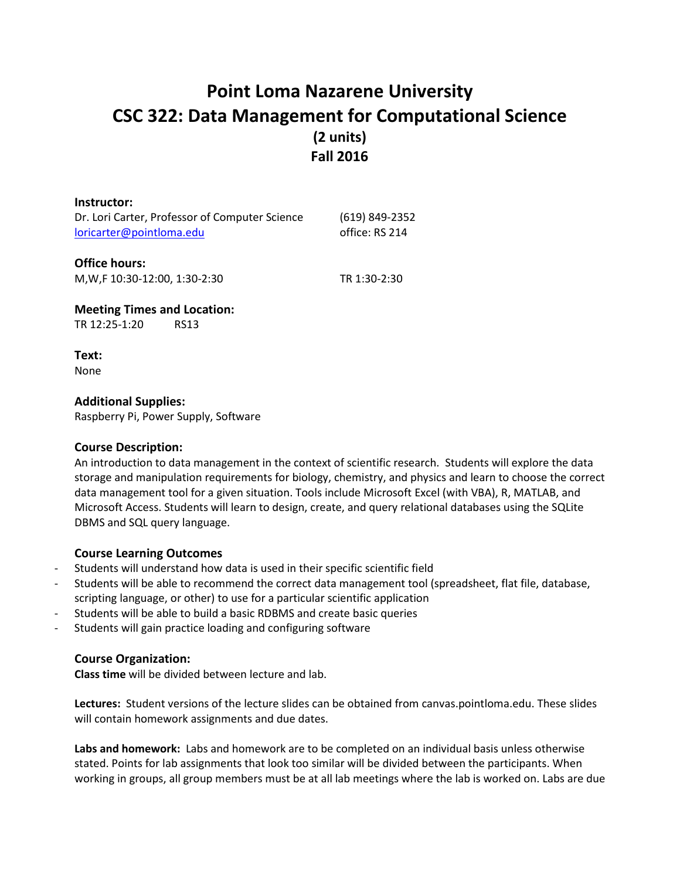# **Point Loma Nazarene University CSC 322: Data Management for Computational Science (2 units) Fall 2016**

| Instructor:                                    |                |
|------------------------------------------------|----------------|
| Dr. Lori Carter, Professor of Computer Science | (619) 849-2352 |
| loricarter@pointloma.edu                       | office: RS 214 |
| <b>Office hours:</b>                           |                |

M,W,F 10:30-12:00, 1:30-2:30 TR 1:30-2:30

**Meeting Times and Location:** TR 12:25-1:20 RS13

**Text:** None

**Additional Supplies:**

Raspberry Pi, Power Supply, Software

## **Course Description:**

An introduction to data management in the context of scientific research. Students will explore the data storage and manipulation requirements for biology, chemistry, and physics and learn to choose the correct data management tool for a given situation. Tools include Microsoft Excel (with VBA), R, MATLAB, and Microsoft Access. Students will learn to design, create, and query relational databases using the SQLite DBMS and SQL query language.

## **Course Learning Outcomes**

- Students will understand how data is used in their specific scientific field
- Students will be able to recommend the correct data management tool (spreadsheet, flat file, database, scripting language, or other) to use for a particular scientific application
- Students will be able to build a basic RDBMS and create basic queries
- Students will gain practice loading and configuring software

## **Course Organization:**

**Class time** will be divided between lecture and lab.

**Lectures:** Student versions of the lecture slides can be obtained from canvas.pointloma.edu. These slides will contain homework assignments and due dates.

**Labs and homework:** Labs and homework are to be completed on an individual basis unless otherwise stated. Points for lab assignments that look too similar will be divided between the participants. When working in groups, all group members must be at all lab meetings where the lab is worked on. Labs are due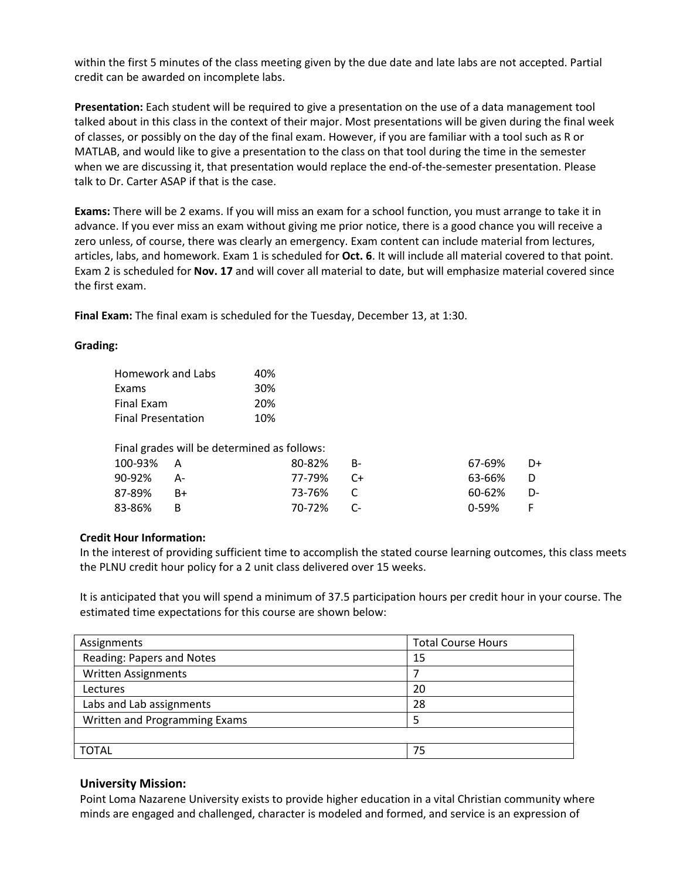within the first 5 minutes of the class meeting given by the due date and late labs are not accepted. Partial credit can be awarded on incomplete labs.

**Presentation:** Each student will be required to give a presentation on the use of a data management tool talked about in this class in the context of their major. Most presentations will be given during the final week of classes, or possibly on the day of the final exam. However, if you are familiar with a tool such as R or MATLAB, and would like to give a presentation to the class on that tool during the time in the semester when we are discussing it, that presentation would replace the end-of-the-semester presentation. Please talk to Dr. Carter ASAP if that is the case.

**Exams:** There will be 2 exams. If you will miss an exam for a school function, you must arrange to take it in advance. If you ever miss an exam without giving me prior notice, there is a good chance you will receive a zero unless, of course, there was clearly an emergency. Exam content can include material from lectures, articles, labs, and homework. Exam 1 is scheduled for **Oct. 6**. It will include all material covered to that point. Exam 2 is scheduled for **Nov. 17** and will cover all material to date, but will emphasize material covered since the first exam.

**Final Exam:** The final exam is scheduled for the Tuesday, December 13, at 1:30.

#### **Grading:**

| Homework and Labs         |    | 40%                                         |      |           |    |
|---------------------------|----|---------------------------------------------|------|-----------|----|
| Exams                     |    | 30%                                         |      |           |    |
| Final Exam                |    | 20%                                         |      |           |    |
| <b>Final Presentation</b> |    | 10%                                         |      |           |    |
|                           |    | Final grades will be determined as follows: |      |           |    |
| 100-93%                   | А  | 80-82%                                      | B-   | 67-69%    | D+ |
| 90-92%                    | А- | 77-79%                                      | $C+$ | 63-66%    | D  |
| 87-89%                    | B+ | 73-76%                                      | C    | 60-62%    | D- |
| 83-86%                    | В  | 70-72%                                      | C-   | $0 - 59%$ | F  |
|                           |    |                                             |      |           |    |

#### **Credit Hour Information:**

In the interest of providing sufficient time to accomplish the stated course learning outcomes, this class meets the PLNU credit hour policy for a 2 unit class delivered over 15 weeks.

It is anticipated that you will spend a minimum of 37.5 participation hours per credit hour in your course. The estimated time expectations for this course are shown below:

| Assignments                   | <b>Total Course Hours</b> |
|-------------------------------|---------------------------|
| Reading: Papers and Notes     | 15                        |
| <b>Written Assignments</b>    |                           |
| Lectures                      | 20                        |
| Labs and Lab assignments      | 28                        |
| Written and Programming Exams |                           |
|                               |                           |
| <b>TOTAL</b>                  | 75                        |

#### **University Mission:**

Point Loma Nazarene University exists to provide higher education in a vital Christian community where minds are engaged and challenged, character is modeled and formed, and service is an expression of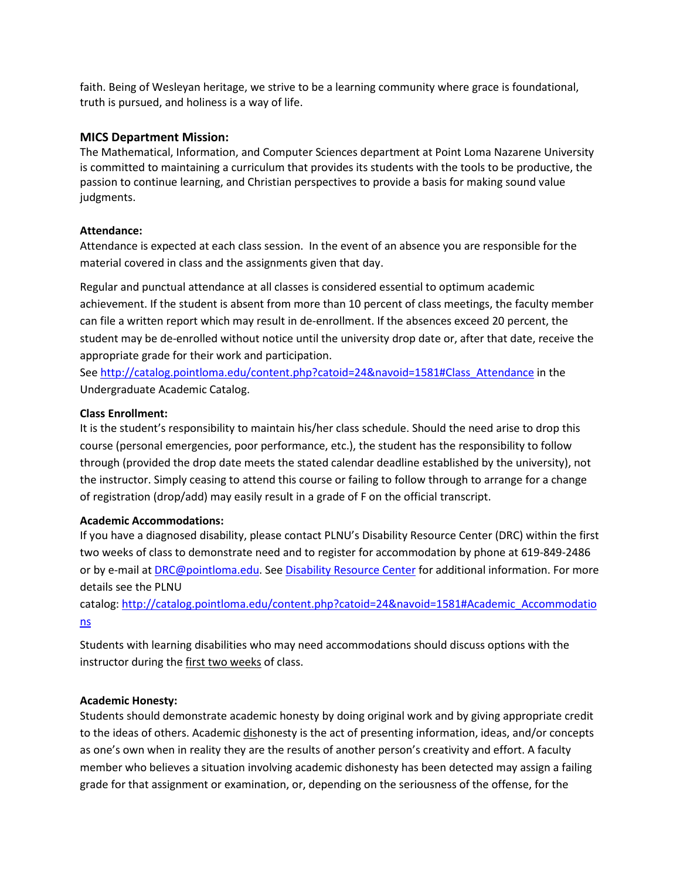faith. Being of Wesleyan heritage, we strive to be a learning community where grace is foundational, truth is pursued, and holiness is a way of life.

### **MICS Department Mission:**

The Mathematical, Information, and Computer Sciences department at Point Loma Nazarene University is committed to maintaining a curriculum that provides its students with the tools to be productive, the passion to continue learning, and Christian perspectives to provide a basis for making sound value judgments.

#### **Attendance:**

Attendance is expected at each class session. In the event of an absence you are responsible for the material covered in class and the assignments given that day.

Regular and punctual attendance at all classes is considered essential to optimum academic achievement. If the student is absent from more than 10 percent of class meetings, the faculty member can file a written report which may result in de-enrollment. If the absences exceed 20 percent, the student may be de-enrolled without notice until the university drop date or, after that date, receive the appropriate grade for their work and participation.

Se[e http://catalog.pointloma.edu/content.php?catoid=24&navoid=1581#Class\\_Attendance](http://catalog.pointloma.edu/content.php?catoid=24&navoid=1581#Class_Attendance) in the Undergraduate Academic Catalog.

## **Class Enrollment:**

It is the student's responsibility to maintain his/her class schedule. Should the need arise to drop this course (personal emergencies, poor performance, etc.), the student has the responsibility to follow through (provided the drop date meets the stated calendar deadline established by the university), not the instructor. Simply ceasing to attend this course or failing to follow through to arrange for a change of registration (drop/add) may easily result in a grade of F on the official transcript.

#### **Academic Accommodations:**

If you have a diagnosed disability, please contact PLNU's Disability Resource Center (DRC) within the first two weeks of class to demonstrate need and to register for accommodation by phone at 619-849-2486 or by e-mail at [DRC@pointloma.edu.](mailto:DRC@pointloma.edu) See [Disability Resource Center](http://www.pointloma.edu/experience/offices/administrative-offices/academic-advising-office/disability-resource-center) for additional information. For more details see the PLNU

catalog: [http://catalog.pointloma.edu/content.php?catoid=24&navoid=1581#Academic\\_Accommodatio](http://catalog.pointloma.edu/content.php?catoid=24&navoid=1581#Academic_Accommodations) [ns](http://catalog.pointloma.edu/content.php?catoid=24&navoid=1581#Academic_Accommodations) 

Students with learning disabilities who may need accommodations should discuss options with the instructor during the first two weeks of class.

#### **Academic Honesty:**

Students should demonstrate academic honesty by doing original work and by giving appropriate credit to the ideas of others. Academic dishonesty is the act of presenting information, ideas, and/or concepts as one's own when in reality they are the results of another person's creativity and effort. A faculty member who believes a situation involving academic dishonesty has been detected may assign a failing grade for that assignment or examination, or, depending on the seriousness of the offense, for the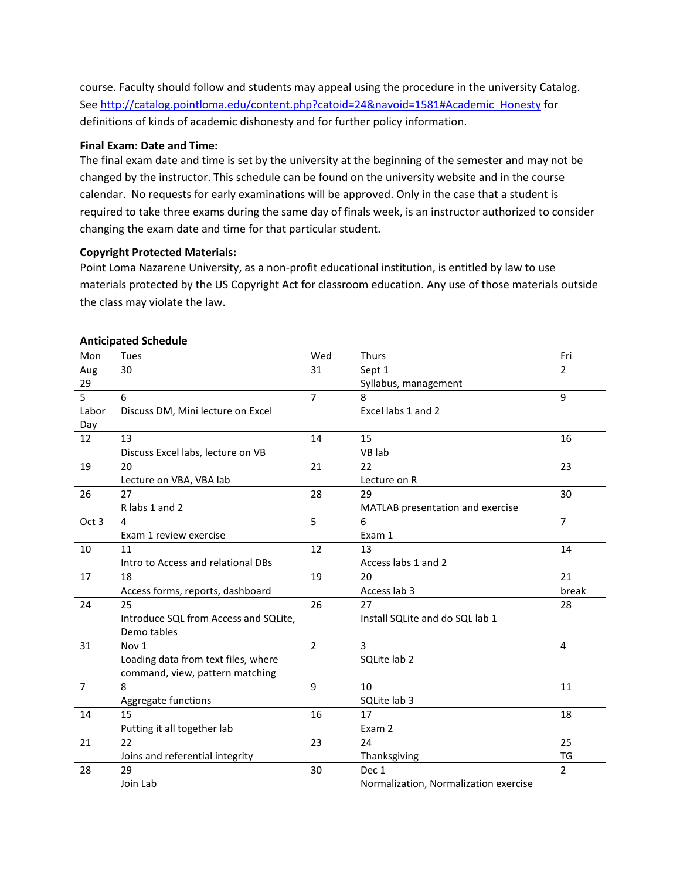course. Faculty should follow and students may appeal using the procedure in the university Catalog. Se[e http://catalog.pointloma.edu/content.php?catoid=24&navoid=1581#Academic\\_Honesty](http://catalog.pointloma.edu/content.php?catoid=24&navoid=1581#Academic_Honesty) for definitions of kinds of academic dishonesty and for further policy information.

#### **Final Exam: Date and Time:**

The final exam date and time is set by the university at the beginning of the semester and may not be changed by the instructor. This schedule can be found on the university website and in the course calendar. No requests for early examinations will be approved. Only in the case that a student is required to take three exams during the same day of finals week, is an instructor authorized to consider changing the exam date and time for that particular student.

#### **Copyright Protected Materials:**

Point Loma Nazarene University, as a non-profit educational institution, is entitled by law to use materials protected by the US Copyright Act for classroom education. Any use of those materials outside the class may violate the law.

| Mon            | Tues                                  | Wed            | <b>Thurs</b>                          | Fri            |
|----------------|---------------------------------------|----------------|---------------------------------------|----------------|
| Aug            | 30                                    | 31             | Sept 1                                | $\overline{2}$ |
| 29             |                                       |                | Syllabus, management                  |                |
| 5              | 6                                     | $\overline{7}$ | 8                                     | 9              |
| Labor          | Discuss DM, Mini lecture on Excel     |                | Excel labs 1 and 2                    |                |
| Day            |                                       |                |                                       |                |
| 12             | 13                                    | 14             | 15                                    | 16             |
|                | Discuss Excel labs, lecture on VB     |                | VB lab                                |                |
| 19             | 20                                    | 21             | 22                                    | 23             |
|                | Lecture on VBA, VBA lab               |                | Lecture on R                          |                |
| 26             | 27                                    | 28             | 29                                    | 30             |
|                | R labs 1 and 2                        |                | MATLAB presentation and exercise      |                |
| Oct 3          | 4                                     | 5              | 6                                     | $\overline{7}$ |
|                | Exam 1 review exercise                |                | Exam 1                                |                |
| 10             | 11                                    | 12             | 13                                    | 14             |
|                | Intro to Access and relational DBs    |                | Access labs 1 and 2                   |                |
| 17             | 18                                    | 19             | 20                                    | 21             |
|                | Access forms, reports, dashboard      |                | Access lab 3                          | break          |
| 24             | 25                                    | 26             | 27                                    | 28             |
|                | Introduce SQL from Access and SQLite, |                | Install SQLite and do SQL lab 1       |                |
|                | Demo tables                           |                |                                       |                |
| 31             | Nov 1                                 | $\overline{2}$ | $\overline{3}$                        | 4              |
|                | Loading data from text files, where   |                | SQLite lab 2                          |                |
|                | command, view, pattern matching       |                |                                       |                |
| $\overline{7}$ | 8                                     | 9              | 10                                    | 11             |
|                | Aggregate functions                   |                | SQLite lab 3                          |                |
| 14             | 15                                    | 16             | 17                                    | 18             |
|                | Putting it all together lab           |                | Exam 2                                |                |
| 21             | 22                                    | 23             | 24                                    | 25             |
|                | Joins and referential integrity       |                | Thanksgiving                          | <b>TG</b>      |
| 28             | 29                                    | 30             | Dec 1                                 | $\overline{2}$ |
|                | Join Lab                              |                | Normalization, Normalization exercise |                |

#### **Anticipated Schedule**